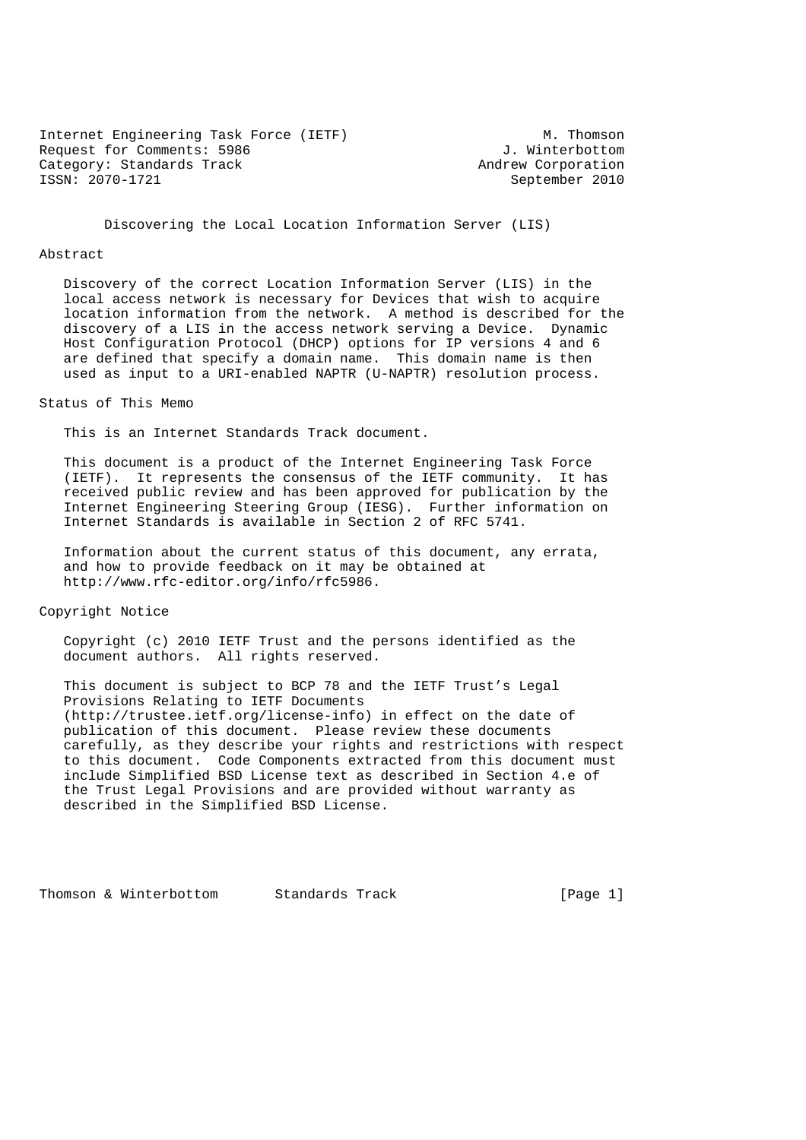Internet Engineering Task Force (IETF) M. Thomson Request for Comments: 5986  $\qquad \qquad$  J. Winterbottom Category: Standards Track and Track Andrew Corporation<br>
TSSN: 2070-1721 Category: September 2010

September 2010

Discovering the Local Location Information Server (LIS)

#### Abstract

 Discovery of the correct Location Information Server (LIS) in the local access network is necessary for Devices that wish to acquire location information from the network. A method is described for the discovery of a LIS in the access network serving a Device. Dynamic Host Configuration Protocol (DHCP) options for IP versions 4 and 6 are defined that specify a domain name. This domain name is then used as input to a URI-enabled NAPTR (U-NAPTR) resolution process.

#### Status of This Memo

This is an Internet Standards Track document.

 This document is a product of the Internet Engineering Task Force (IETF). It represents the consensus of the IETF community. It has received public review and has been approved for publication by the Internet Engineering Steering Group (IESG). Further information on Internet Standards is available in Section 2 of RFC 5741.

 Information about the current status of this document, any errata, and how to provide feedback on it may be obtained at http://www.rfc-editor.org/info/rfc5986.

Copyright Notice

 Copyright (c) 2010 IETF Trust and the persons identified as the document authors. All rights reserved.

 This document is subject to BCP 78 and the IETF Trust's Legal Provisions Relating to IETF Documents (http://trustee.ietf.org/license-info) in effect on the date of publication of this document. Please review these documents carefully, as they describe your rights and restrictions with respect to this document. Code Components extracted from this document must include Simplified BSD License text as described in Section 4.e of the Trust Legal Provisions and are provided without warranty as described in the Simplified BSD License.

Thomson & Winterbottom Standards Track [Page 1]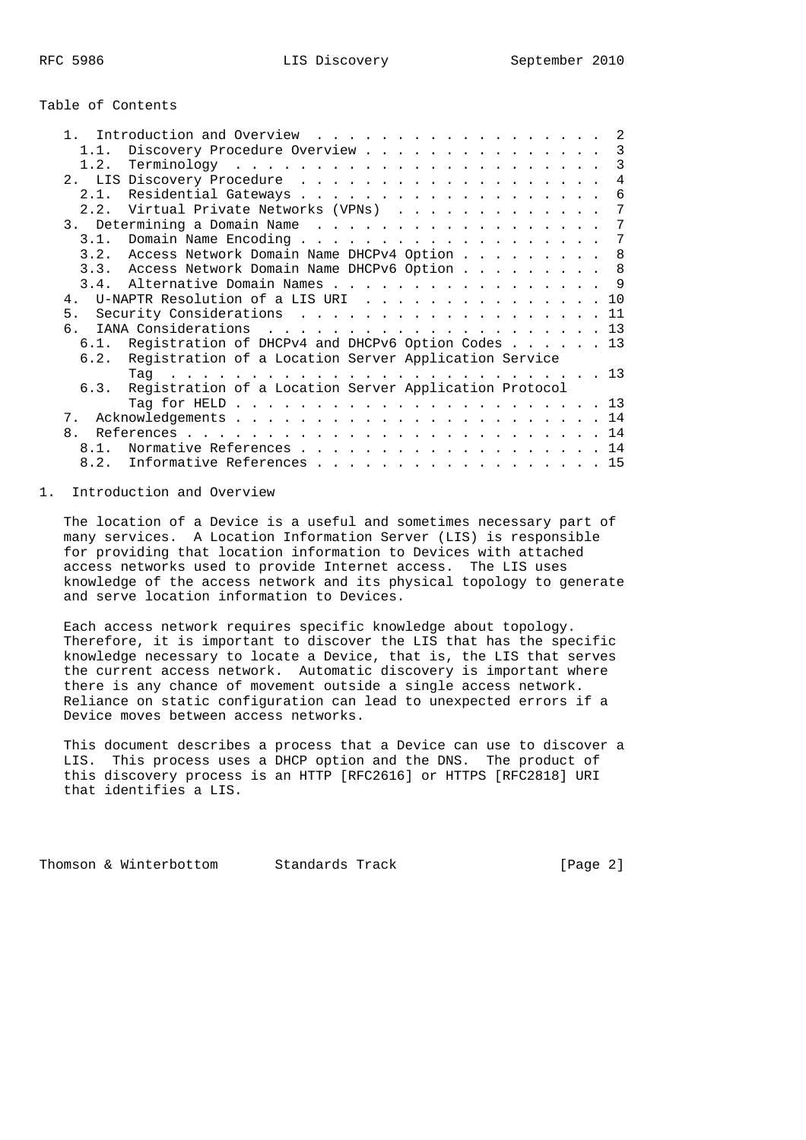### Table of Contents

|                |                                                        | -2              |
|----------------|--------------------------------------------------------|-----------------|
| 1.1.           | Discovery Procedure Overview 3                         |                 |
|                |                                                        | 3               |
|                |                                                        | $\overline{4}$  |
|                |                                                        | 6               |
|                | 2.2. Virtual Private Networks (VPNs)                   | $7\phantom{.0}$ |
|                |                                                        |                 |
|                | 3.1. Domain Name Encoding 7                            |                 |
|                | 3.2. Access Network Domain Name DHCPv4 Option 8        |                 |
|                | 3.3. Access Network Domain Name DHCPv6 Option 8        |                 |
|                | 3.4. Alternative Domain Names 9                        |                 |
|                | 4. U-NAPTR Resolution of a LIS URI 10                  |                 |
|                | 5. Security Considerations 11                          |                 |
| б.             |                                                        |                 |
|                | 6.1. Registration of DHCPv4 and DHCPv6 Option Codes 13 |                 |
| 6.2.           | Registration of a Location Server Application Service  |                 |
|                |                                                        |                 |
| 6.3.           | Registration of a Location Server Application Protocol |                 |
|                |                                                        |                 |
| 7.             |                                                        |                 |
| 8 <sub>1</sub> |                                                        |                 |
| 8.1.           | Normative References 14                                |                 |
|                | 8.2. Informative References 15                         |                 |
|                |                                                        |                 |

# 1. Introduction and Overview

 The location of a Device is a useful and sometimes necessary part of many services. A Location Information Server (LIS) is responsible for providing that location information to Devices with attached access networks used to provide Internet access. The LIS uses knowledge of the access network and its physical topology to generate and serve location information to Devices.

 Each access network requires specific knowledge about topology. Therefore, it is important to discover the LIS that has the specific knowledge necessary to locate a Device, that is, the LIS that serves the current access network. Automatic discovery is important where there is any chance of movement outside a single access network. Reliance on static configuration can lead to unexpected errors if a Device moves between access networks.

 This document describes a process that a Device can use to discover a LIS. This process uses a DHCP option and the DNS. The product of this discovery process is an HTTP [RFC2616] or HTTPS [RFC2818] URI that identifies a LIS.

Thomson & Winterbottom Standards Track [Page 2]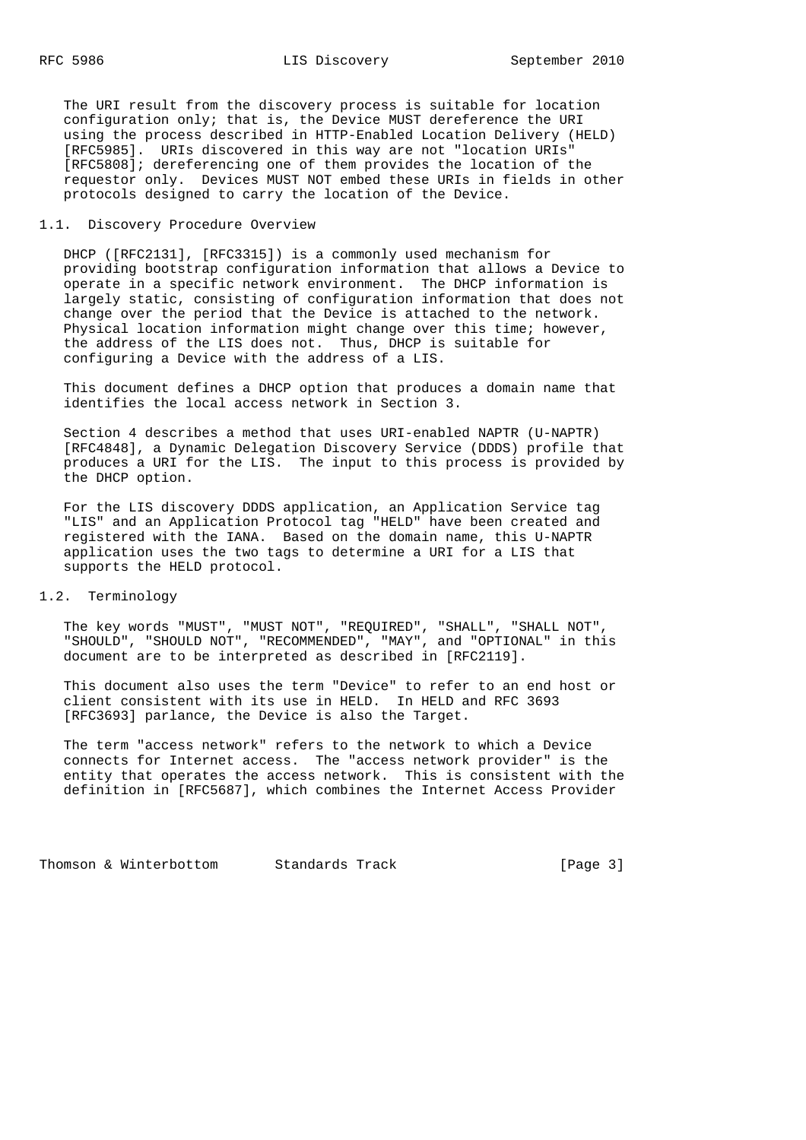The URI result from the discovery process is suitable for location configuration only; that is, the Device MUST dereference the URI using the process described in HTTP-Enabled Location Delivery (HELD) [RFC5985]. URIs discovered in this way are not "location URIs" [RFC5808]; dereferencing one of them provides the location of the requestor only. Devices MUST NOT embed these URIs in fields in other protocols designed to carry the location of the Device.

## 1.1. Discovery Procedure Overview

 DHCP ([RFC2131], [RFC3315]) is a commonly used mechanism for providing bootstrap configuration information that allows a Device to operate in a specific network environment. The DHCP information is largely static, consisting of configuration information that does not change over the period that the Device is attached to the network. Physical location information might change over this time; however, the address of the LIS does not. Thus, DHCP is suitable for configuring a Device with the address of a LIS.

 This document defines a DHCP option that produces a domain name that identifies the local access network in Section 3.

 Section 4 describes a method that uses URI-enabled NAPTR (U-NAPTR) [RFC4848], a Dynamic Delegation Discovery Service (DDDS) profile that produces a URI for the LIS. The input to this process is provided by the DHCP option.

 For the LIS discovery DDDS application, an Application Service tag "LIS" and an Application Protocol tag "HELD" have been created and registered with the IANA. Based on the domain name, this U-NAPTR application uses the two tags to determine a URI for a LIS that supports the HELD protocol.

### 1.2. Terminology

 The key words "MUST", "MUST NOT", "REQUIRED", "SHALL", "SHALL NOT", "SHOULD", "SHOULD NOT", "RECOMMENDED", "MAY", and "OPTIONAL" in this document are to be interpreted as described in [RFC2119].

 This document also uses the term "Device" to refer to an end host or client consistent with its use in HELD. In HELD and RFC 3693 [RFC3693] parlance, the Device is also the Target.

 The term "access network" refers to the network to which a Device connects for Internet access. The "access network provider" is the entity that operates the access network. This is consistent with the definition in [RFC5687], which combines the Internet Access Provider

Thomson & Winterbottom Standards Track [Page 3]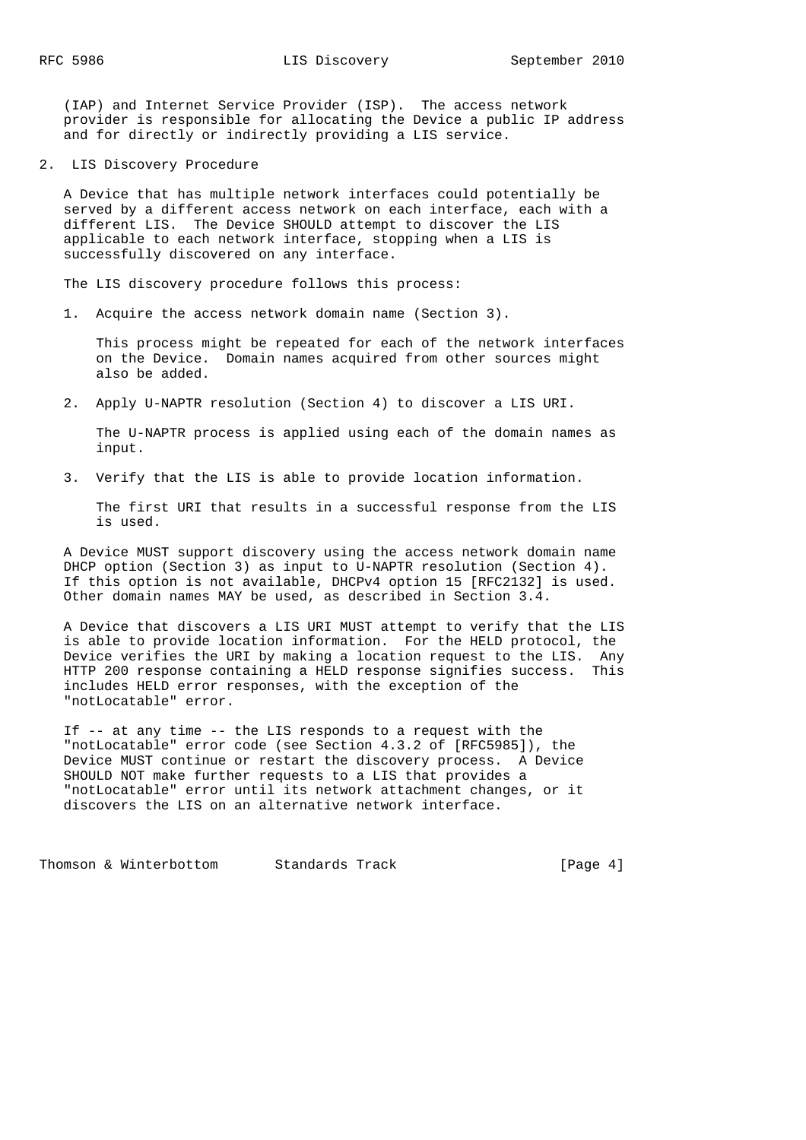(IAP) and Internet Service Provider (ISP). The access network provider is responsible for allocating the Device a public IP address and for directly or indirectly providing a LIS service.

2. LIS Discovery Procedure

 A Device that has multiple network interfaces could potentially be served by a different access network on each interface, each with a different LIS. The Device SHOULD attempt to discover the LIS applicable to each network interface, stopping when a LIS is successfully discovered on any interface.

The LIS discovery procedure follows this process:

1. Acquire the access network domain name (Section 3).

 This process might be repeated for each of the network interfaces on the Device. Domain names acquired from other sources might also be added.

2. Apply U-NAPTR resolution (Section 4) to discover a LIS URI.

 The U-NAPTR process is applied using each of the domain names as input.

3. Verify that the LIS is able to provide location information.

 The first URI that results in a successful response from the LIS is used.

 A Device MUST support discovery using the access network domain name DHCP option (Section 3) as input to U-NAPTR resolution (Section 4). If this option is not available, DHCPv4 option 15 [RFC2132] is used. Other domain names MAY be used, as described in Section 3.4.

 A Device that discovers a LIS URI MUST attempt to verify that the LIS is able to provide location information. For the HELD protocol, the Device verifies the URI by making a location request to the LIS. Any HTTP 200 response containing a HELD response signifies success. This includes HELD error responses, with the exception of the "notLocatable" error.

 If -- at any time -- the LIS responds to a request with the "notLocatable" error code (see Section 4.3.2 of [RFC5985]), the Device MUST continue or restart the discovery process. A Device SHOULD NOT make further requests to a LIS that provides a "notLocatable" error until its network attachment changes, or it discovers the LIS on an alternative network interface.

Thomson & Winterbottom Standards Track [Page 4]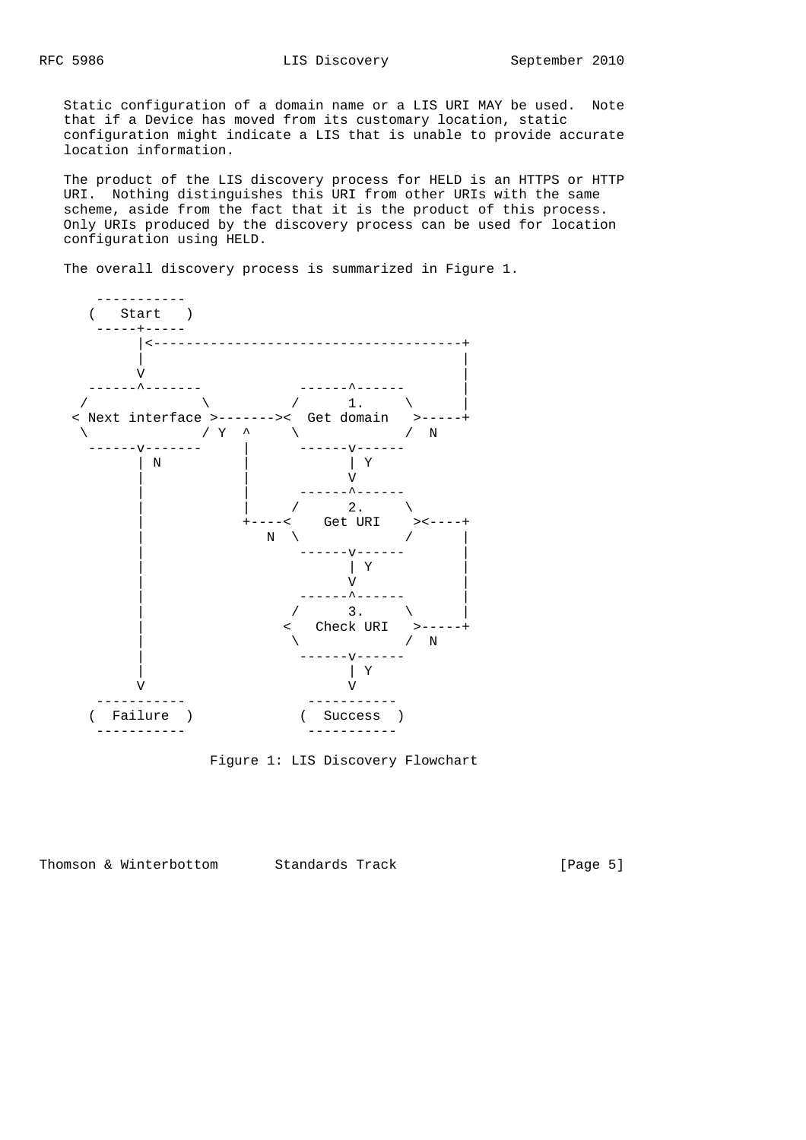Static configuration of a domain name or a LIS URI MAY be used. Note that if a Device has moved from its customary location, static configuration might indicate a LIS that is unable to provide accurate location information.

 The product of the LIS discovery process for HELD is an HTTPS or HTTP URI. Nothing distinguishes this URI from other URIs with the same scheme, aside from the fact that it is the product of this process. Only URIs produced by the discovery process can be used for location configuration using HELD.

The overall discovery process is summarized in Figure 1.



Figure 1: LIS Discovery Flowchart

Thomson & Winterbottom Standards Track [Page 5]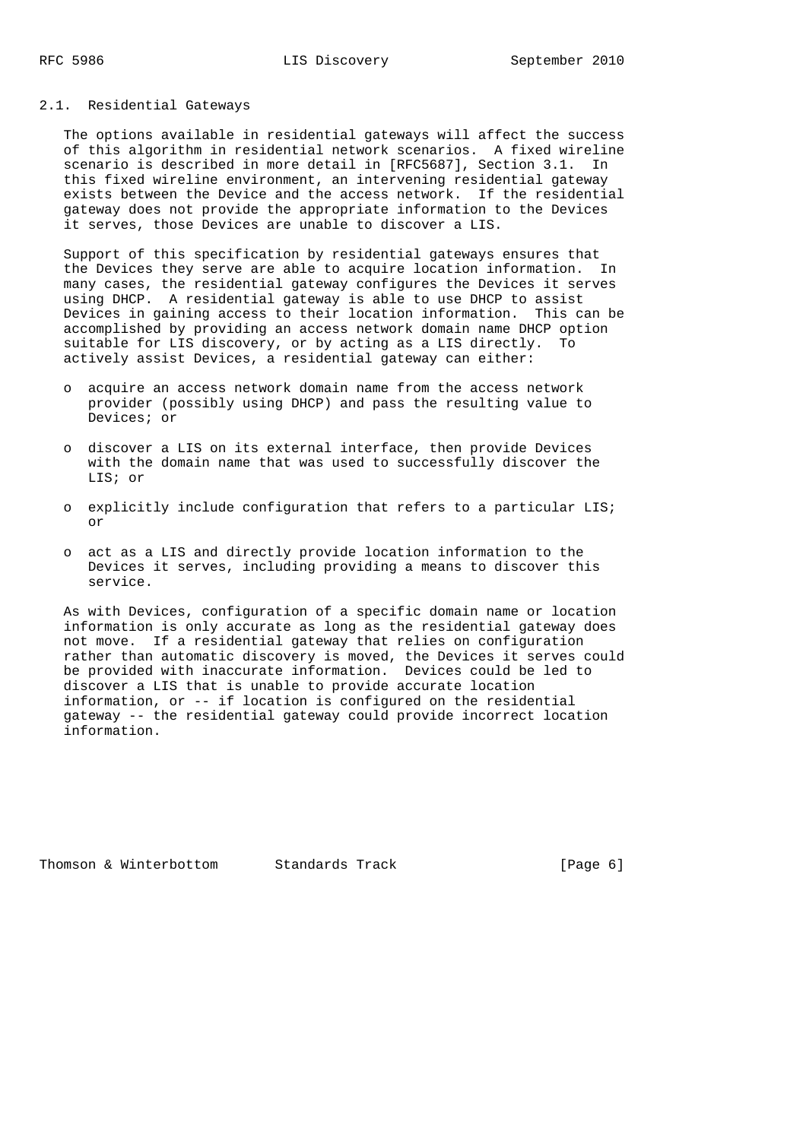## 2.1. Residential Gateways

 The options available in residential gateways will affect the success of this algorithm in residential network scenarios. A fixed wireline scenario is described in more detail in [RFC5687], Section 3.1. In this fixed wireline environment, an intervening residential gateway exists between the Device and the access network. If the residential gateway does not provide the appropriate information to the Devices it serves, those Devices are unable to discover a LIS.

 Support of this specification by residential gateways ensures that the Devices they serve are able to acquire location information. In many cases, the residential gateway configures the Devices it serves using DHCP. A residential gateway is able to use DHCP to assist Devices in gaining access to their location information. This can be accomplished by providing an access network domain name DHCP option suitable for LIS discovery, or by acting as a LIS directly. To actively assist Devices, a residential gateway can either:

- o acquire an access network domain name from the access network provider (possibly using DHCP) and pass the resulting value to Devices; or
- o discover a LIS on its external interface, then provide Devices with the domain name that was used to successfully discover the LIS; or
- o explicitly include configuration that refers to a particular LIS; or
- o act as a LIS and directly provide location information to the Devices it serves, including providing a means to discover this service.

 As with Devices, configuration of a specific domain name or location information is only accurate as long as the residential gateway does not move. If a residential gateway that relies on configuration rather than automatic discovery is moved, the Devices it serves could be provided with inaccurate information. Devices could be led to discover a LIS that is unable to provide accurate location information, or -- if location is configured on the residential gateway -- the residential gateway could provide incorrect location information.

Thomson & Winterbottom Standards Track [Page 6]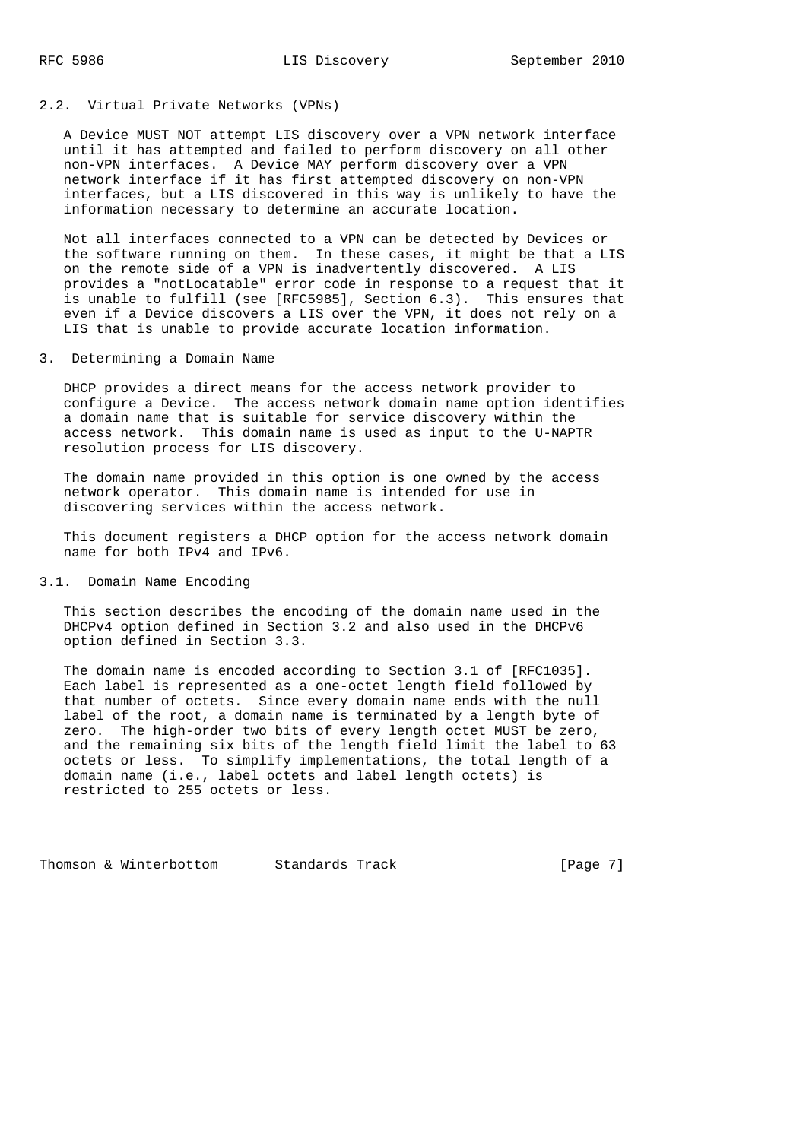#### 2.2. Virtual Private Networks (VPNs)

 A Device MUST NOT attempt LIS discovery over a VPN network interface until it has attempted and failed to perform discovery on all other non-VPN interfaces. A Device MAY perform discovery over a VPN network interface if it has first attempted discovery on non-VPN interfaces, but a LIS discovered in this way is unlikely to have the information necessary to determine an accurate location.

 Not all interfaces connected to a VPN can be detected by Devices or the software running on them. In these cases, it might be that a LIS on the remote side of a VPN is inadvertently discovered. A LIS provides a "notLocatable" error code in response to a request that it is unable to fulfill (see [RFC5985], Section 6.3). This ensures that even if a Device discovers a LIS over the VPN, it does not rely on a LIS that is unable to provide accurate location information.

3. Determining a Domain Name

 DHCP provides a direct means for the access network provider to configure a Device. The access network domain name option identifies a domain name that is suitable for service discovery within the access network. This domain name is used as input to the U-NAPTR resolution process for LIS discovery.

 The domain name provided in this option is one owned by the access network operator. This domain name is intended for use in discovering services within the access network.

 This document registers a DHCP option for the access network domain name for both IPv4 and IPv6.

#### 3.1. Domain Name Encoding

 This section describes the encoding of the domain name used in the DHCPv4 option defined in Section 3.2 and also used in the DHCPv6 option defined in Section 3.3.

 The domain name is encoded according to Section 3.1 of [RFC1035]. Each label is represented as a one-octet length field followed by that number of octets. Since every domain name ends with the null label of the root, a domain name is terminated by a length byte of zero. The high-order two bits of every length octet MUST be zero, and the remaining six bits of the length field limit the label to 63 octets or less. To simplify implementations, the total length of a domain name (i.e., label octets and label length octets) is restricted to 255 octets or less.

Thomson & Winterbottom Standards Track [Page 7]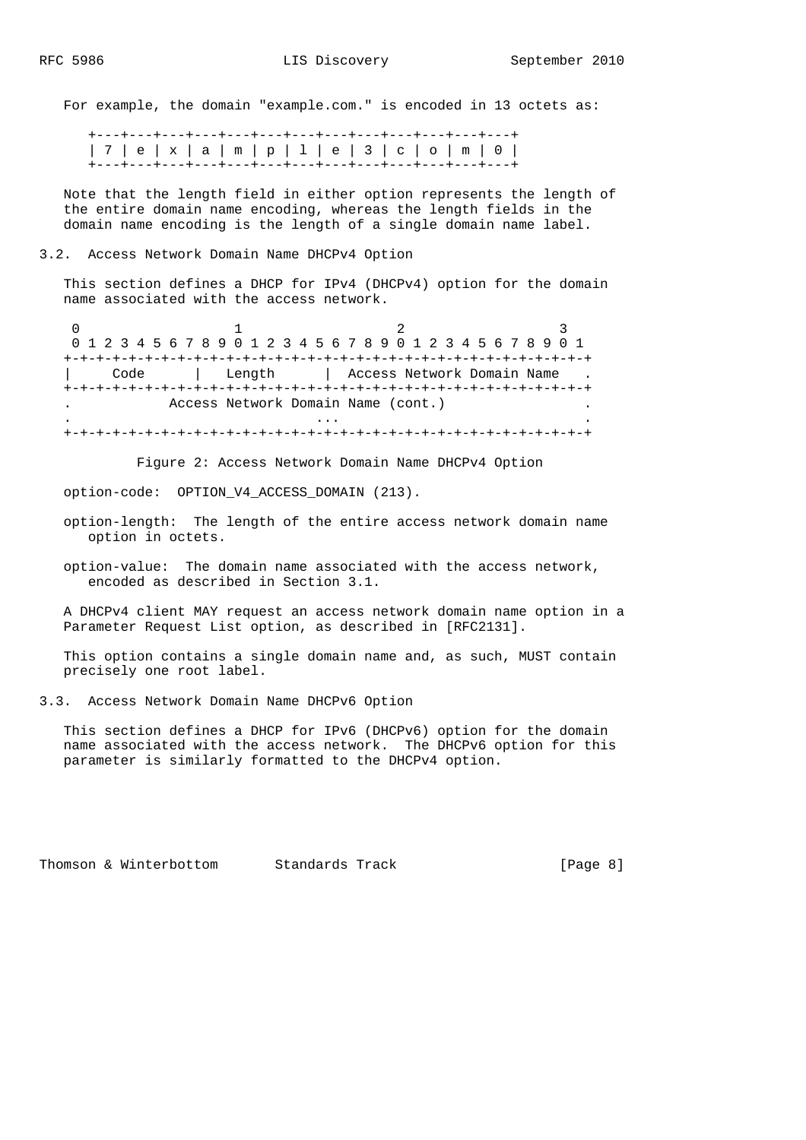For example, the domain "example.com." is encoded in 13 octets as:

 +---+---+---+---+---+---+---+---+---+---+---+---+---+ | 7 | e | x | a | m | p | l | e | 3 | c | o | m | 0 | +---+---+---+---+---+---+---+---+---+---+---+---+---+

 Note that the length field in either option represents the length of the entire domain name encoding, whereas the length fields in the domain name encoding is the length of a single domain name label.

3.2. Access Network Domain Name DHCPv4 Option

 This section defines a DHCP for IPv4 (DHCPv4) option for the domain name associated with the access network.

0  $1$  2 3 0 1 2 3 4 5 6 7 8 9 0 1 2 3 4 5 6 7 8 9 0 1 2 3 4 5 6 7 8 9 0 1 +-+-+-+-+-+-+-+-+-+-+-+-+-+-+-+-+-+-+-+-+-+-+-+-+-+-+-+-+-+-+-+-+ | Code | Length | Access Network Domain Name +-+-+-+-+-+-+-+-+-+-+-+-+-+-+-+-+-+-+-+-+-+-+-+-+-+-+-+-+-+-+-+-+ . Access Network Domain Name (cont.) . . ... . +-+-+-+-+-+-+-+-+-+-+-+-+-+-+-+-+-+-+-+-+-+-+-+-+-+-+-+-+-+-+-+-+

Figure 2: Access Network Domain Name DHCPv4 Option

option-code: OPTION\_V4\_ACCESS\_DOMAIN (213).

- option-length: The length of the entire access network domain name option in octets.
- option-value: The domain name associated with the access network, encoded as described in Section 3.1.

 A DHCPv4 client MAY request an access network domain name option in a Parameter Request List option, as described in [RFC2131].

 This option contains a single domain name and, as such, MUST contain precisely one root label.

3.3. Access Network Domain Name DHCPv6 Option

 This section defines a DHCP for IPv6 (DHCPv6) option for the domain name associated with the access network. The DHCPv6 option for this parameter is similarly formatted to the DHCPv4 option.

Thomson & Winterbottom Standards Track [Page 8]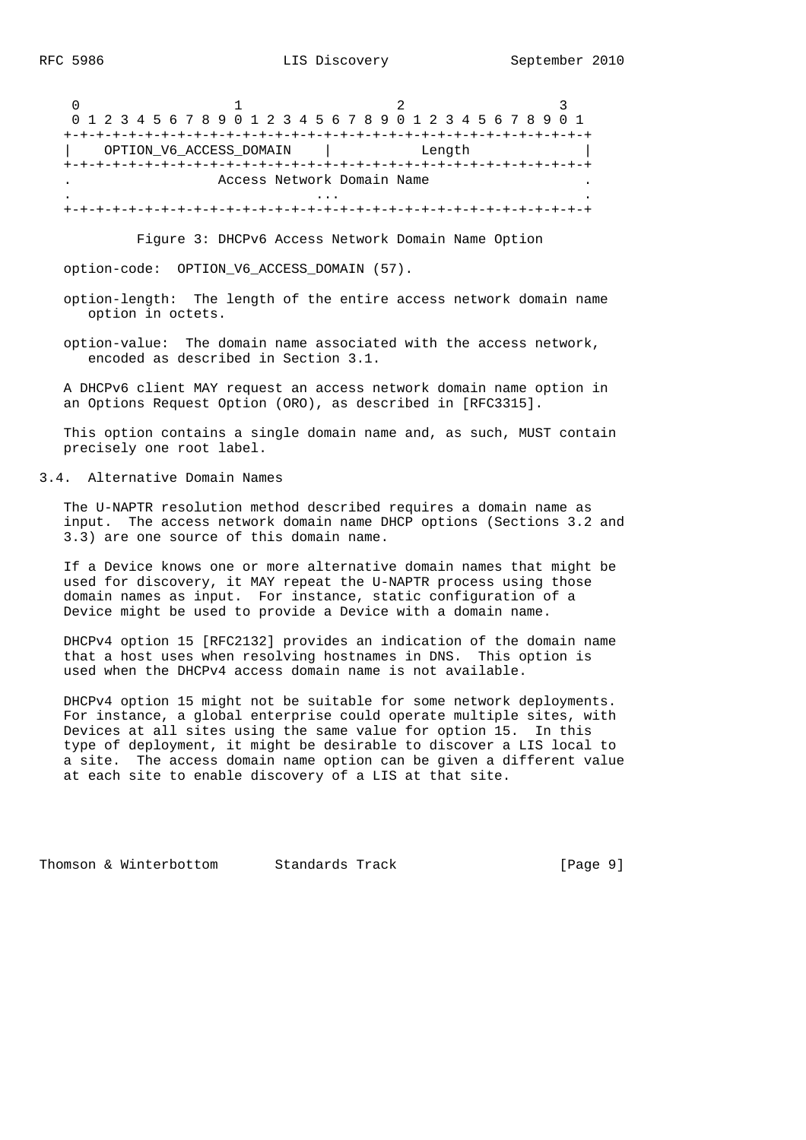0  $1$  2 3 0 1 2 3 4 5 6 7 8 9 0 1 2 3 4 5 6 7 8 9 0 1 2 3 4 5 6 7 8 9 0 1 +-+-+-+-+-+-+-+-+-+-+-+-+-+-+-+-+-+-+-+-+-+-+-+-+-+-+-+-+-+-+-+-+ | OPTION\_V6\_ACCESS\_DOMAIN | Length | +-+-+-+-+-+-+-+-+-+-+-+-+-+-+-+-+-+-+-+-+-+-+-+-+-+-+-+-+-+-+-+-+ Access Network Domain Name . ... . +-+-+-+-+-+-+-+-+-+-+-+-+-+-+-+-+-+-+-+-+-+-+-+-+-+-+-+-+-+-+-+-+

Figure 3: DHCPv6 Access Network Domain Name Option

option-code: OPTION\_V6\_ACCESS\_DOMAIN (57).

- option-length: The length of the entire access network domain name option in octets.
- option-value: The domain name associated with the access network, encoded as described in Section 3.1.

 A DHCPv6 client MAY request an access network domain name option in an Options Request Option (ORO), as described in [RFC3315].

 This option contains a single domain name and, as such, MUST contain precisely one root label.

### 3.4. Alternative Domain Names

 The U-NAPTR resolution method described requires a domain name as input. The access network domain name DHCP options (Sections 3.2 and 3.3) are one source of this domain name.

 If a Device knows one or more alternative domain names that might be used for discovery, it MAY repeat the U-NAPTR process using those domain names as input. For instance, static configuration of a Device might be used to provide a Device with a domain name.

 DHCPv4 option 15 [RFC2132] provides an indication of the domain name that a host uses when resolving hostnames in DNS. This option is used when the DHCPv4 access domain name is not available.

 DHCPv4 option 15 might not be suitable for some network deployments. For instance, a global enterprise could operate multiple sites, with Devices at all sites using the same value for option 15. In this type of deployment, it might be desirable to discover a LIS local to a site. The access domain name option can be given a different value at each site to enable discovery of a LIS at that site.

Thomson & Winterbottom Standards Track [Page 9]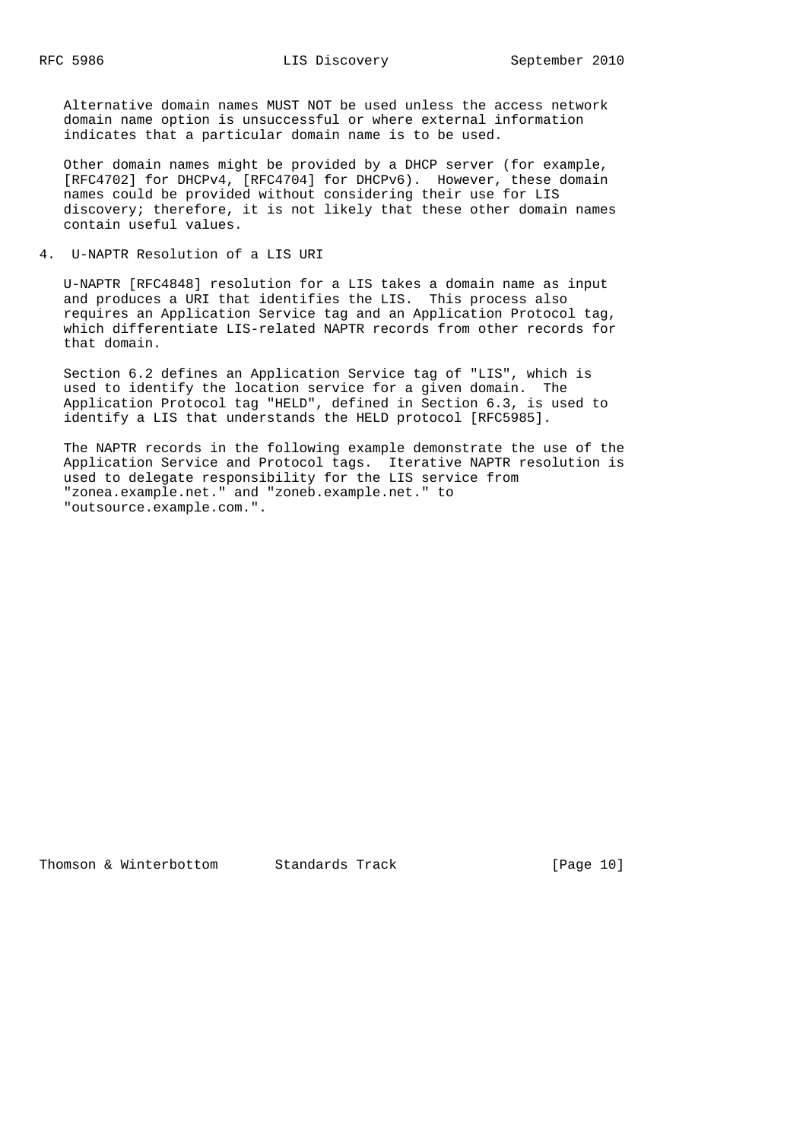Alternative domain names MUST NOT be used unless the access network domain name option is unsuccessful or where external information indicates that a particular domain name is to be used.

 Other domain names might be provided by a DHCP server (for example, [RFC4702] for DHCPv4, [RFC4704] for DHCPv6). However, these domain names could be provided without considering their use for LIS discovery; therefore, it is not likely that these other domain names contain useful values.

4. U-NAPTR Resolution of a LIS URI

 U-NAPTR [RFC4848] resolution for a LIS takes a domain name as input and produces a URI that identifies the LIS. This process also requires an Application Service tag and an Application Protocol tag, which differentiate LIS-related NAPTR records from other records for that domain.

 Section 6.2 defines an Application Service tag of "LIS", which is used to identify the location service for a given domain. The Application Protocol tag "HELD", defined in Section 6.3, is used to identify a LIS that understands the HELD protocol [RFC5985].

 The NAPTR records in the following example demonstrate the use of the Application Service and Protocol tags. Iterative NAPTR resolution is used to delegate responsibility for the LIS service from "zonea.example.net." and "zoneb.example.net." to "outsource.example.com.".

Thomson & Winterbottom Standards Track [Page 10]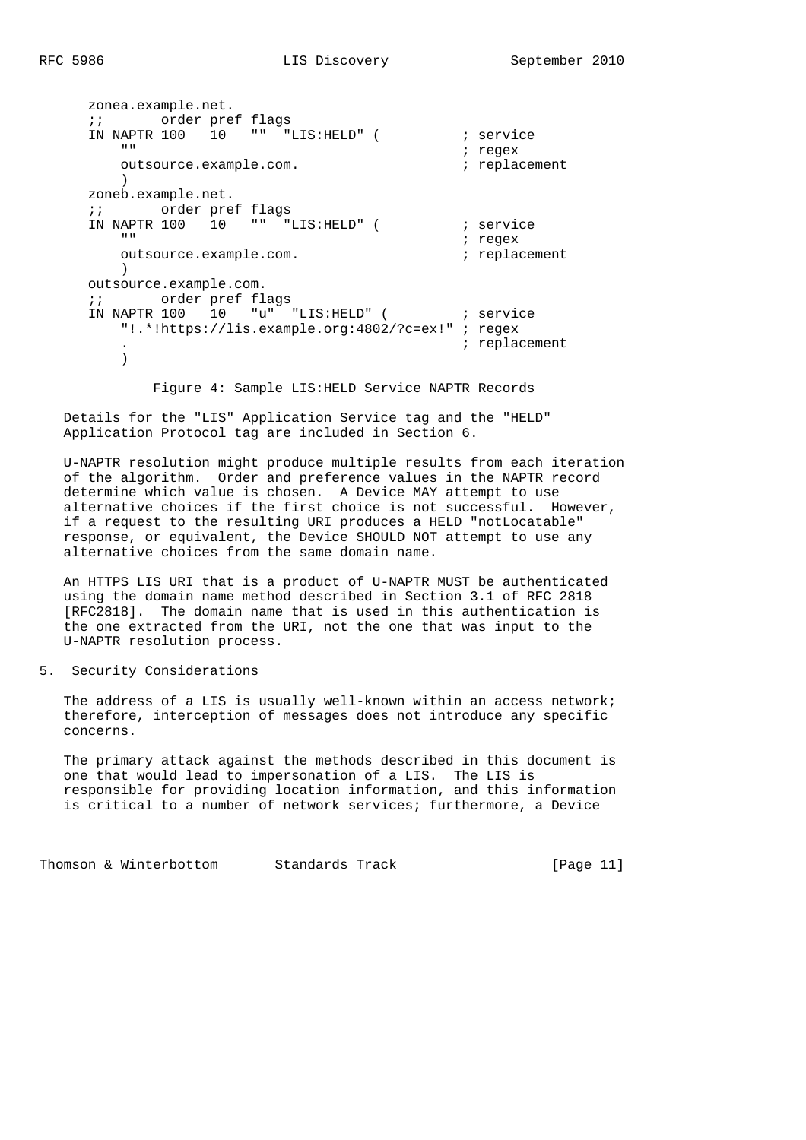```
 zonea.example.net.
     ;; order pref flags
    IN NAPTR 100 10 "" "LIS:HELD" ( ; service
                                       ; regex
        outsource.example.com. ; replacement
 )
     zoneb.example.net.
     ;; order pref flags
    IN NAPTR 100 10 "" "LIS: HELD" ( ; service
       "" " ; regex
        outsource.example.com. ; replacement
       \rightarrow outsource.example.com.
     ;; order pref flags
    IN NAPTR 100 10 "u" "LIS:HELD" ( ; service
        "!.*!https://lis.example.org:4802/?c=ex!" ; regex
                                        . ; replacement
 )
```
Figure 4: Sample LIS:HELD Service NAPTR Records

 Details for the "LIS" Application Service tag and the "HELD" Application Protocol tag are included in Section 6.

 U-NAPTR resolution might produce multiple results from each iteration of the algorithm. Order and preference values in the NAPTR record determine which value is chosen. A Device MAY attempt to use alternative choices if the first choice is not successful. However, if a request to the resulting URI produces a HELD "notLocatable" response, or equivalent, the Device SHOULD NOT attempt to use any alternative choices from the same domain name.

 An HTTPS LIS URI that is a product of U-NAPTR MUST be authenticated using the domain name method described in Section 3.1 of RFC 2818 [RFC2818]. The domain name that is used in this authentication is the one extracted from the URI, not the one that was input to the U-NAPTR resolution process.

5. Security Considerations

The address of a LIS is usually well-known within an access network; therefore, interception of messages does not introduce any specific concerns.

 The primary attack against the methods described in this document is one that would lead to impersonation of a LIS. The LIS is responsible for providing location information, and this information is critical to a number of network services; furthermore, a Device

Thomson & Winterbottom Standards Track [Page 11]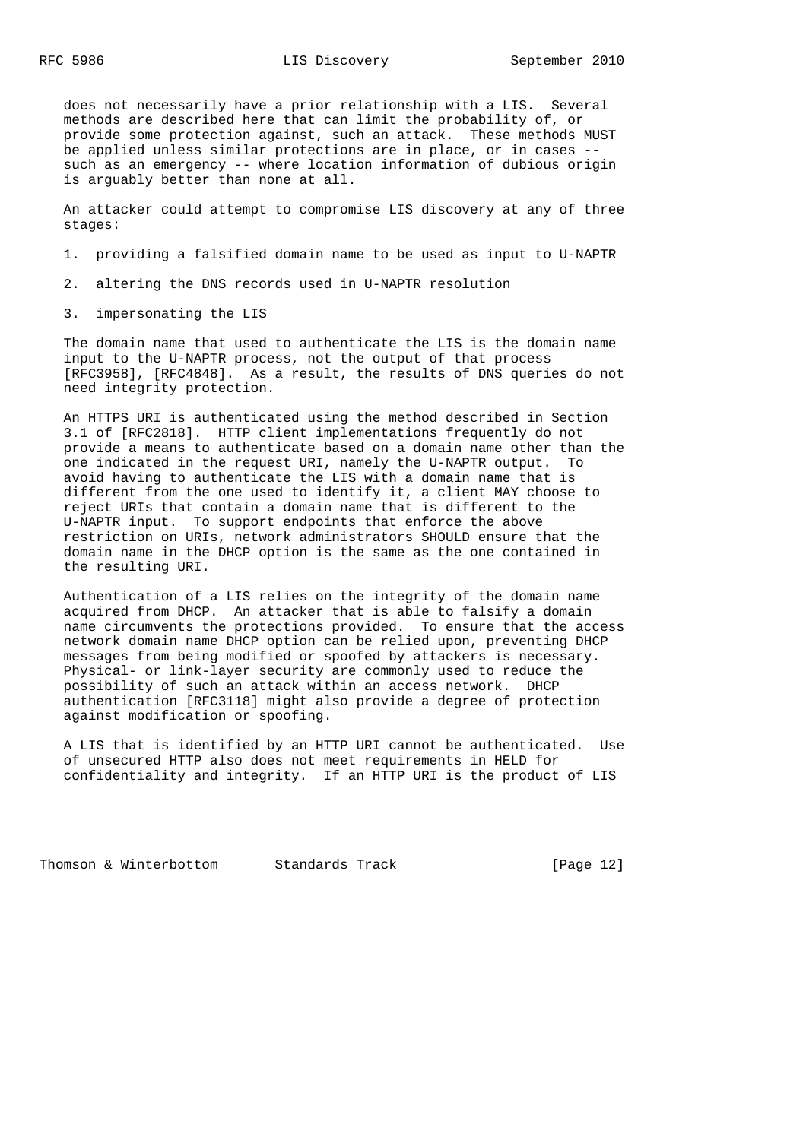does not necessarily have a prior relationship with a LIS. Several methods are described here that can limit the probability of, or provide some protection against, such an attack. These methods MUST be applied unless similar protections are in place, or in cases - such as an emergency -- where location information of dubious origin is arguably better than none at all.

 An attacker could attempt to compromise LIS discovery at any of three stages:

1. providing a falsified domain name to be used as input to U-NAPTR

2. altering the DNS records used in U-NAPTR resolution

3. impersonating the LIS

 The domain name that used to authenticate the LIS is the domain name input to the U-NAPTR process, not the output of that process [RFC3958], [RFC4848]. As a result, the results of DNS queries do not need integrity protection.

 An HTTPS URI is authenticated using the method described in Section 3.1 of [RFC2818]. HTTP client implementations frequently do not provide a means to authenticate based on a domain name other than the one indicated in the request URI, namely the U-NAPTR output. To avoid having to authenticate the LIS with a domain name that is different from the one used to identify it, a client MAY choose to reject URIs that contain a domain name that is different to the U-NAPTR input. To support endpoints that enforce the above restriction on URIs, network administrators SHOULD ensure that the domain name in the DHCP option is the same as the one contained in the resulting URI.

 Authentication of a LIS relies on the integrity of the domain name acquired from DHCP. An attacker that is able to falsify a domain name circumvents the protections provided. To ensure that the access network domain name DHCP option can be relied upon, preventing DHCP messages from being modified or spoofed by attackers is necessary. Physical- or link-layer security are commonly used to reduce the possibility of such an attack within an access network. DHCP authentication [RFC3118] might also provide a degree of protection against modification or spoofing.

 A LIS that is identified by an HTTP URI cannot be authenticated. Use of unsecured HTTP also does not meet requirements in HELD for confidentiality and integrity. If an HTTP URI is the product of LIS

Thomson & Winterbottom Standards Track [Page 12]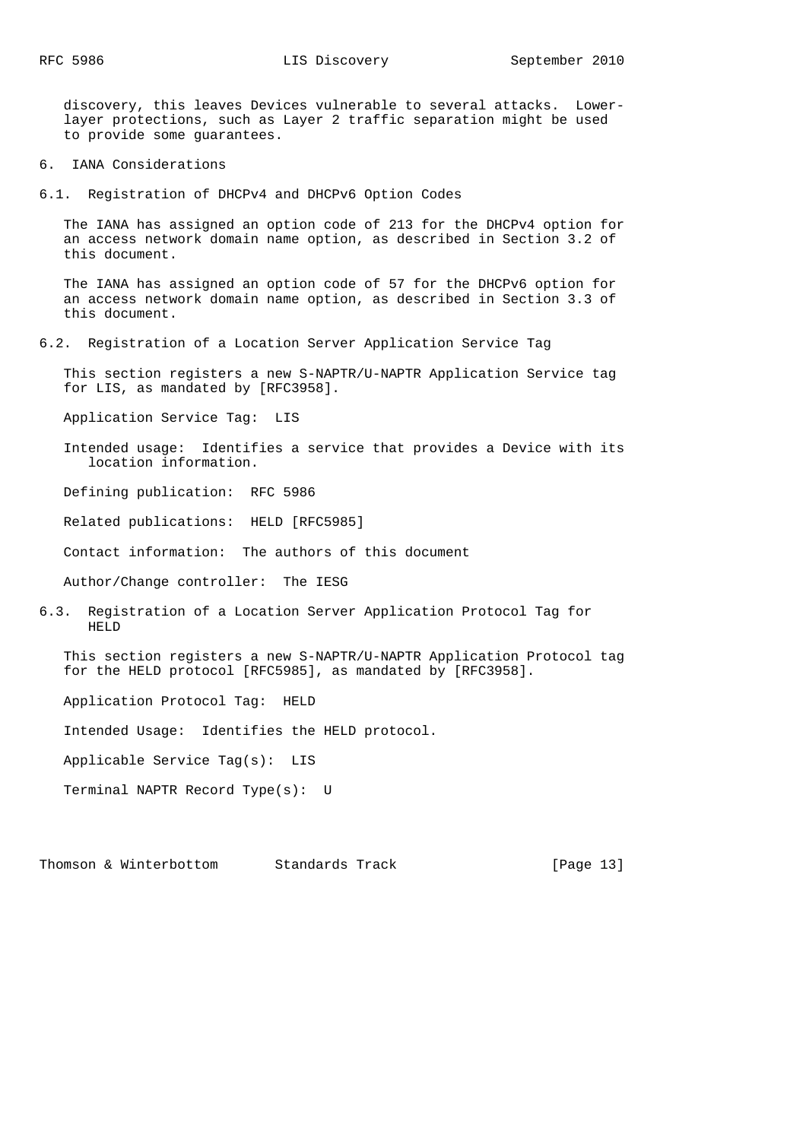discovery, this leaves Devices vulnerable to several attacks. Lower layer protections, such as Layer 2 traffic separation might be used to provide some guarantees.

6. IANA Considerations

6.1. Registration of DHCPv4 and DHCPv6 Option Codes

 The IANA has assigned an option code of 213 for the DHCPv4 option for an access network domain name option, as described in Section 3.2 of this document.

 The IANA has assigned an option code of 57 for the DHCPv6 option for an access network domain name option, as described in Section 3.3 of this document.

6.2. Registration of a Location Server Application Service Tag

 This section registers a new S-NAPTR/U-NAPTR Application Service tag for LIS, as mandated by [RFC3958].

Application Service Tag: LIS

 Intended usage: Identifies a service that provides a Device with its location information.

Defining publication: RFC 5986

Related publications: HELD [RFC5985]

Contact information: The authors of this document

Author/Change controller: The IESG

6.3. Registration of a Location Server Application Protocol Tag for HELD

 This section registers a new S-NAPTR/U-NAPTR Application Protocol tag for the HELD protocol [RFC5985], as mandated by [RFC3958].

Application Protocol Tag: HELD

Intended Usage: Identifies the HELD protocol.

Applicable Service Tag(s): LIS

Terminal NAPTR Record Type(s): U

Thomson & Winterbottom Standards Track [Page 13]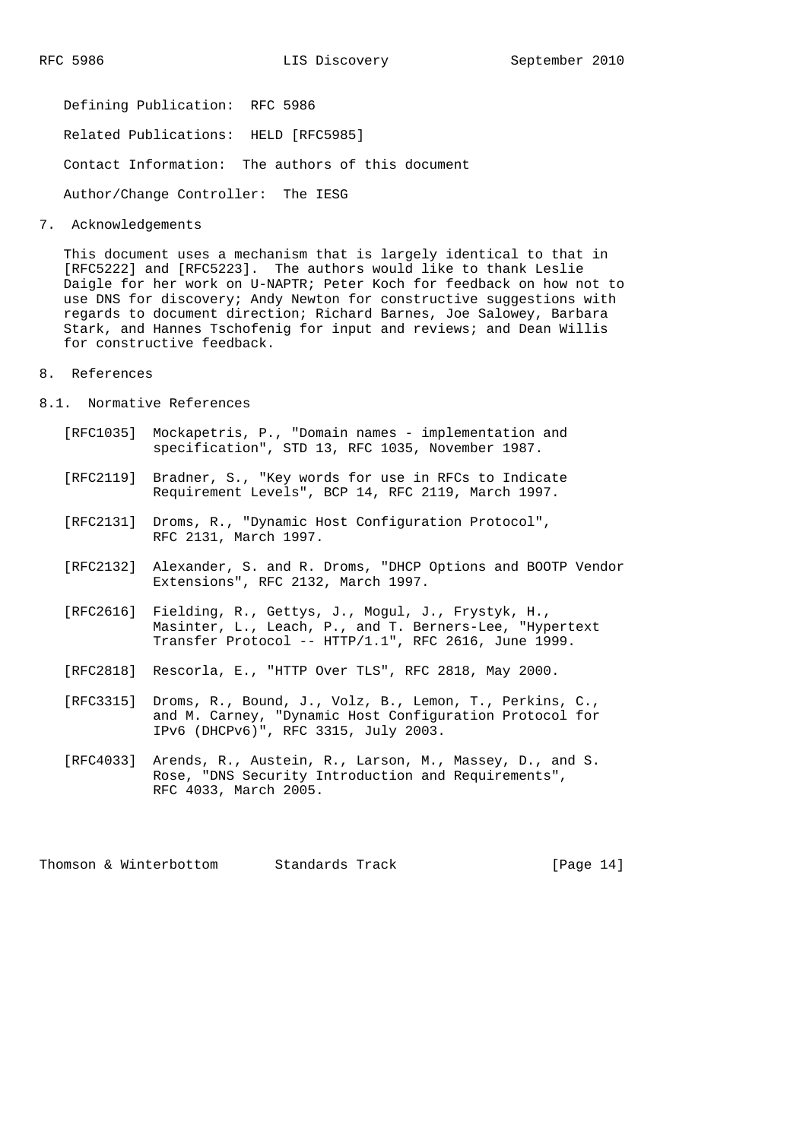Defining Publication: RFC 5986 Related Publications: HELD [RFC5985] Contact Information: The authors of this document Author/Change Controller: The IESG

7. Acknowledgements

 This document uses a mechanism that is largely identical to that in [RFC5222] and [RFC5223]. The authors would like to thank Leslie Daigle for her work on U-NAPTR; Peter Koch for feedback on how not to use DNS for discovery; Andy Newton for constructive suggestions with regards to document direction; Richard Barnes, Joe Salowey, Barbara Stark, and Hannes Tschofenig for input and reviews; and Dean Willis for constructive feedback.

- 8. References
- 8.1. Normative References
- [RFC1035] Mockapetris, P., "Domain names implementation and specification", STD 13, RFC 1035, November 1987.
	- [RFC2119] Bradner, S., "Key words for use in RFCs to Indicate Requirement Levels", BCP 14, RFC 2119, March 1997.
	- [RFC2131] Droms, R., "Dynamic Host Configuration Protocol", RFC 2131, March 1997.
	- [RFC2132] Alexander, S. and R. Droms, "DHCP Options and BOOTP Vendor Extensions", RFC 2132, March 1997.
	- [RFC2616] Fielding, R., Gettys, J., Mogul, J., Frystyk, H., Masinter, L., Leach, P., and T. Berners-Lee, "Hypertext Transfer Protocol -- HTTP/1.1", RFC 2616, June 1999.
	- [RFC2818] Rescorla, E., "HTTP Over TLS", RFC 2818, May 2000.
	- [RFC3315] Droms, R., Bound, J., Volz, B., Lemon, T., Perkins, C., and M. Carney, "Dynamic Host Configuration Protocol for IPv6 (DHCPv6)", RFC 3315, July 2003.
	- [RFC4033] Arends, R., Austein, R., Larson, M., Massey, D., and S. Rose, "DNS Security Introduction and Requirements", RFC 4033, March 2005.

Thomson & Winterbottom Standards Track [Page 14]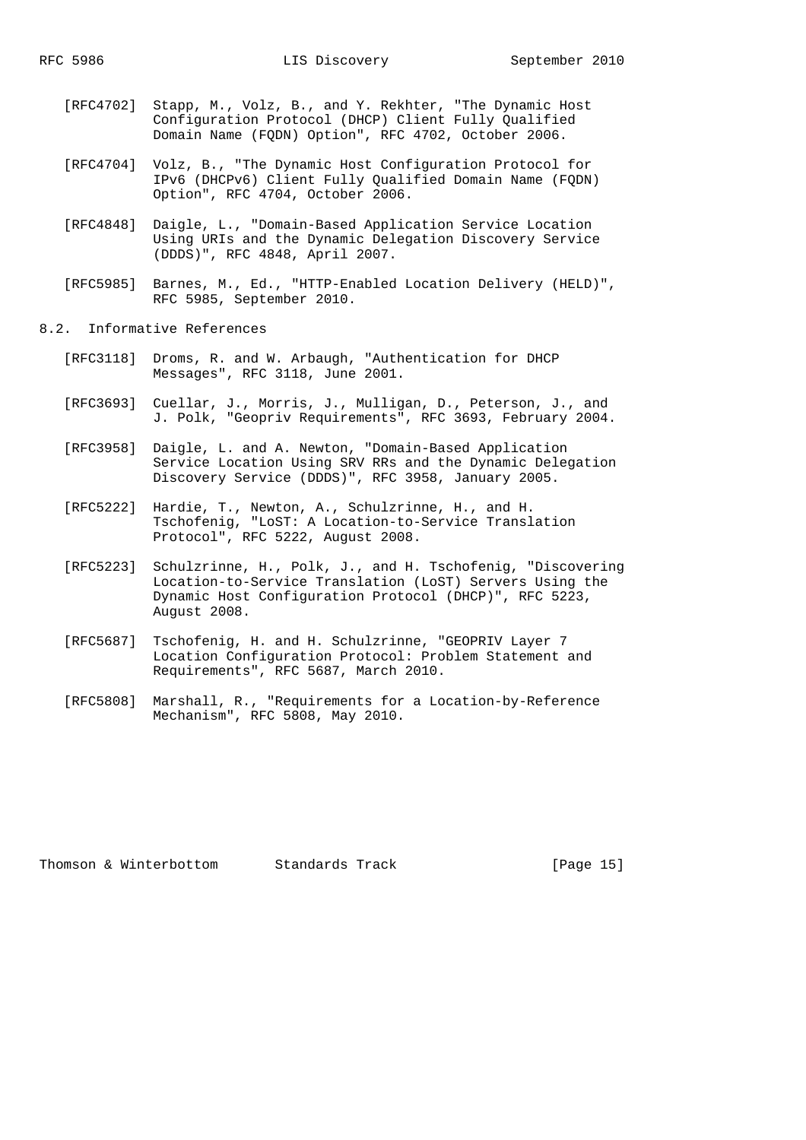- [RFC4702] Stapp, M., Volz, B., and Y. Rekhter, "The Dynamic Host Configuration Protocol (DHCP) Client Fully Qualified Domain Name (FQDN) Option", RFC 4702, October 2006.
- [RFC4704] Volz, B., "The Dynamic Host Configuration Protocol for IPv6 (DHCPv6) Client Fully Qualified Domain Name (FQDN) Option", RFC 4704, October 2006.
- [RFC4848] Daigle, L., "Domain-Based Application Service Location Using URIs and the Dynamic Delegation Discovery Service (DDDS)", RFC 4848, April 2007.
- [RFC5985] Barnes, M., Ed., "HTTP-Enabled Location Delivery (HELD)", RFC 5985, September 2010.
- 8.2. Informative References
	- [RFC3118] Droms, R. and W. Arbaugh, "Authentication for DHCP Messages", RFC 3118, June 2001.
	- [RFC3693] Cuellar, J., Morris, J., Mulligan, D., Peterson, J., and J. Polk, "Geopriv Requirements", RFC 3693, February 2004.
	- [RFC3958] Daigle, L. and A. Newton, "Domain-Based Application Service Location Using SRV RRs and the Dynamic Delegation Discovery Service (DDDS)", RFC 3958, January 2005.
	- [RFC5222] Hardie, T., Newton, A., Schulzrinne, H., and H. Tschofenig, "LoST: A Location-to-Service Translation Protocol", RFC 5222, August 2008.
	- [RFC5223] Schulzrinne, H., Polk, J., and H. Tschofenig, "Discovering Location-to-Service Translation (LoST) Servers Using the Dynamic Host Configuration Protocol (DHCP)", RFC 5223, August 2008.
	- [RFC5687] Tschofenig, H. and H. Schulzrinne, "GEOPRIV Layer 7 Location Configuration Protocol: Problem Statement and Requirements", RFC 5687, March 2010.
	- [RFC5808] Marshall, R., "Requirements for a Location-by-Reference Mechanism", RFC 5808, May 2010.

| Thomson & Winterbottom | Standa |
|------------------------|--------|
|                        |        |

ands Track [Page 15]